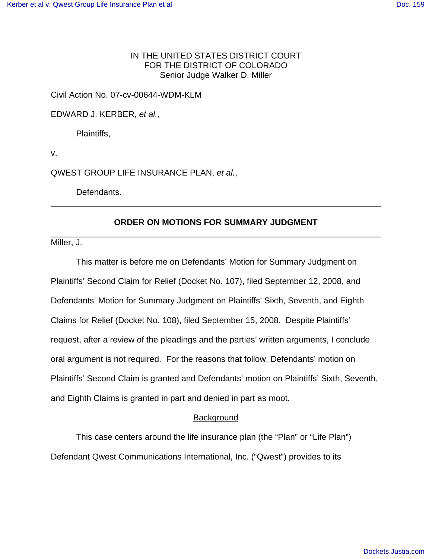# IN THE UNITED STATES DISTRICT COURT FOR THE DISTRICT OF COLORADO Senior Judge Walker D. Miller

### Civil Action No. 07-cv-00644-WDM-KLM

EDWARD J. KERBER, *et al.*,

Plaintiffs,

v.

QWEST GROUP LIFE INSURANCE PLAN, *et al.*,

Defendants.

## **ORDER ON MOTIONS FOR SUMMARY JUDGMENT**

Miller, J.

This matter is before me on Defendants' Motion for Summary Judgment on Plaintiffs' Second Claim for Relief (Docket No. 107), filed September 12, 2008, and Defendants' Motion for Summary Judgment on Plaintiffs' Sixth, Seventh, and Eighth Claims for Relief (Docket No. 108), filed September 15, 2008. Despite Plaintiffs' request, after a review of the pleadings and the parties' written arguments, I conclude oral argument is not required. For the reasons that follow, Defendants' motion on Plaintiffs' Second Claim is granted and Defendants' motion on Plaintiffs' Sixth, Seventh, and Eighth Claims is granted in part and denied in part as moot.

# **Background**

This case centers around the life insurance plan (the "Plan" or "Life Plan") Defendant Qwest Communications International, Inc. ("Qwest") provides to its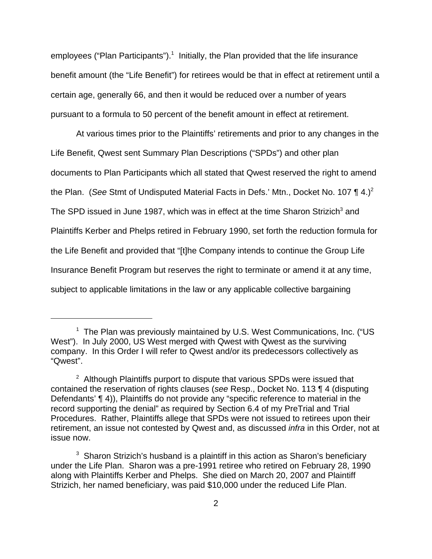employees ("Plan Participants").<sup>1</sup> Initially, the Plan provided that the life insurance benefit amount (the "Life Benefit") for retirees would be that in effect at retirement until a certain age, generally 66, and then it would be reduced over a number of years pursuant to a formula to 50 percent of the benefit amount in effect at retirement.

At various times prior to the Plaintiffs' retirements and prior to any changes in the Life Benefit, Qwest sent Summary Plan Descriptions ("SPDs") and other plan documents to Plan Participants which all stated that Qwest reserved the right to amend the Plan. (*See* Stmt of Undisputed Material Facts in Defs.' Mtn., Docket No. 107 ¶ 4.)<sup>2</sup> The SPD issued in June 1987, which was in effect at the time Sharon Strizich<sup>3</sup> and Plaintiffs Kerber and Phelps retired in February 1990, set forth the reduction formula for the Life Benefit and provided that "[t]he Company intends to continue the Group Life Insurance Benefit Program but reserves the right to terminate or amend it at any time, subject to applicable limitations in the law or any applicable collective bargaining

<sup>&</sup>lt;sup>1</sup> The Plan was previously maintained by U.S. West Communications, Inc. ("US West"). In July 2000, US West merged with Qwest with Qwest as the surviving company. In this Order I will refer to Qwest and/or its predecessors collectively as "Qwest".

 $2$  Although Plaintiffs purport to dispute that various SPDs were issued that contained the reservation of rights clauses (*see* Resp., Docket No. 113 ¶ 4 (disputing Defendants' ¶ 4)), Plaintiffs do not provide any "specific reference to material in the record supporting the denial" as required by Section 6.4 of my PreTrial and Trial Procedures. Rather, Plaintiffs allege that SPDs were not issued to retirees upon their retirement, an issue not contested by Qwest and, as discussed *infra* in this Order, not at issue now.

 $3$  Sharon Strizich's husband is a plaintiff in this action as Sharon's beneficiary under the Life Plan. Sharon was a pre-1991 retiree who retired on February 28, 1990 along with Plaintiffs Kerber and Phelps. She died on March 20, 2007 and Plaintiff Strizich, her named beneficiary, was paid \$10,000 under the reduced Life Plan.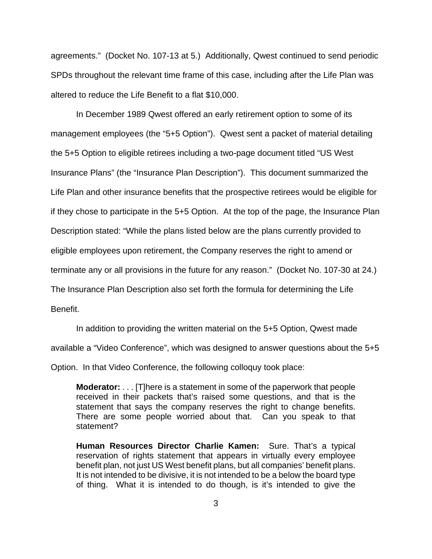agreements." (Docket No. 107-13 at 5.) Additionally, Qwest continued to send periodic SPDs throughout the relevant time frame of this case, including after the Life Plan was altered to reduce the Life Benefit to a flat \$10,000.

In December 1989 Qwest offered an early retirement option to some of its management employees (the "5+5 Option"). Qwest sent a packet of material detailing the 5+5 Option to eligible retirees including a two-page document titled "US West Insurance Plans" (the "Insurance Plan Description"). This document summarized the Life Plan and other insurance benefits that the prospective retirees would be eligible for if they chose to participate in the 5+5 Option. At the top of the page, the Insurance Plan Description stated: "While the plans listed below are the plans currently provided to eligible employees upon retirement, the Company reserves the right to amend or terminate any or all provisions in the future for any reason." (Docket No. 107-30 at 24.) The Insurance Plan Description also set forth the formula for determining the Life Benefit.

In addition to providing the written material on the 5+5 Option, Qwest made available a "Video Conference", which was designed to answer questions about the 5+5 Option. In that Video Conference, the following colloquy took place:

**Moderator:** . . . [T]here is a statement in some of the paperwork that people received in their packets that's raised some questions, and that is the statement that says the company reserves the right to change benefits. There are some people worried about that. Can you speak to that statement?

**Human Resources Director Charlie Kamen:** Sure. That's a typical reservation of rights statement that appears in virtually every employee benefit plan, not just US West benefit plans, but all companies' benefit plans. It is not intended to be divisive, it is not intended to be a below the board type of thing. What it is intended to do though, is it's intended to give the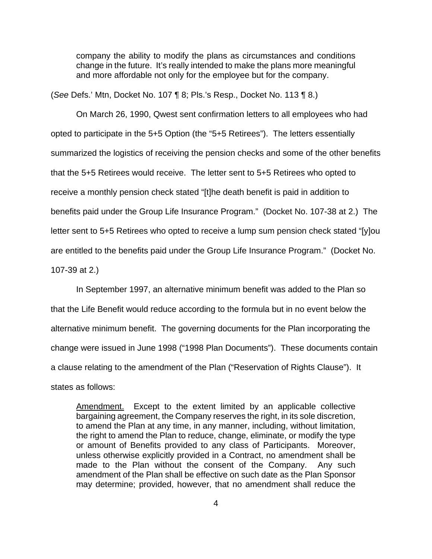company the ability to modify the plans as circumstances and conditions change in the future. It's really intended to make the plans more meaningful and more affordable not only for the employee but for the company.

(*See* Defs.' Mtn, Docket No. 107 ¶ 8; Pls.'s Resp., Docket No. 113 ¶ 8.)

On March 26, 1990, Qwest sent confirmation letters to all employees who had opted to participate in the 5+5 Option (the "5+5 Retirees"). The letters essentially summarized the logistics of receiving the pension checks and some of the other benefits that the 5+5 Retirees would receive. The letter sent to 5+5 Retirees who opted to receive a monthly pension check stated "[t]he death benefit is paid in addition to benefits paid under the Group Life Insurance Program." (Docket No. 107-38 at 2.) The letter sent to 5+5 Retirees who opted to receive a lump sum pension check stated "[y]ou are entitled to the benefits paid under the Group Life Insurance Program." (Docket No.

107-39 at 2.)

In September 1997, an alternative minimum benefit was added to the Plan so that the Life Benefit would reduce according to the formula but in no event below the alternative minimum benefit. The governing documents for the Plan incorporating the change were issued in June 1998 ("1998 Plan Documents"). These documents contain a clause relating to the amendment of the Plan ("Reservation of Rights Clause"). It states as follows:

Amendment. Except to the extent limited by an applicable collective bargaining agreement, the Company reserves the right, in its sole discretion, to amend the Plan at any time, in any manner, including, without limitation, the right to amend the Plan to reduce, change, eliminate, or modify the type or amount of Benefits provided to any class of Participants. Moreover, unless otherwise explicitly provided in a Contract, no amendment shall be made to the Plan without the consent of the Company. Any such amendment of the Plan shall be effective on such date as the Plan Sponsor may determine; provided, however, that no amendment shall reduce the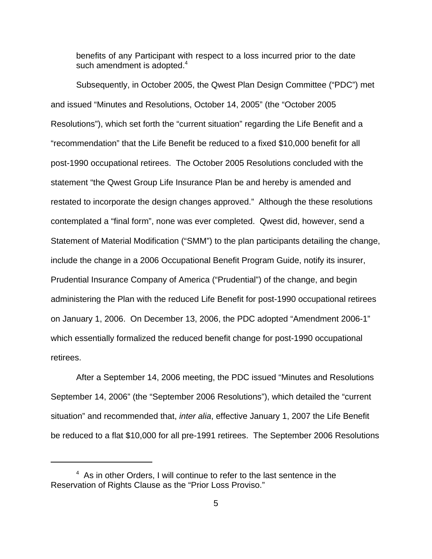benefits of any Participant with respect to a loss incurred prior to the date such amendment is adopted. $4$ 

Subsequently, in October 2005, the Qwest Plan Design Committee ("PDC") met and issued "Minutes and Resolutions, October 14, 2005" (the "October 2005 Resolutions"), which set forth the "current situation" regarding the Life Benefit and a "recommendation" that the Life Benefit be reduced to a fixed \$10,000 benefit for all post-1990 occupational retirees. The October 2005 Resolutions concluded with the statement "the Qwest Group Life Insurance Plan be and hereby is amended and restated to incorporate the design changes approved." Although the these resolutions contemplated a "final form", none was ever completed. Qwest did, however, send a Statement of Material Modification ("SMM") to the plan participants detailing the change, include the change in a 2006 Occupational Benefit Program Guide, notify its insurer, Prudential Insurance Company of America ("Prudential") of the change, and begin administering the Plan with the reduced Life Benefit for post-1990 occupational retirees on January 1, 2006. On December 13, 2006, the PDC adopted "Amendment 2006-1" which essentially formalized the reduced benefit change for post-1990 occupational retirees.

After a September 14, 2006 meeting, the PDC issued "Minutes and Resolutions September 14, 2006" (the "September 2006 Resolutions"), which detailed the "current situation" and recommended that, *inter alia*, effective January 1, 2007 the Life Benefit be reduced to a flat \$10,000 for all pre-1991 retirees. The September 2006 Resolutions

<sup>&</sup>lt;sup>4</sup> As in other Orders, I will continue to refer to the last sentence in the Reservation of Rights Clause as the "Prior Loss Proviso."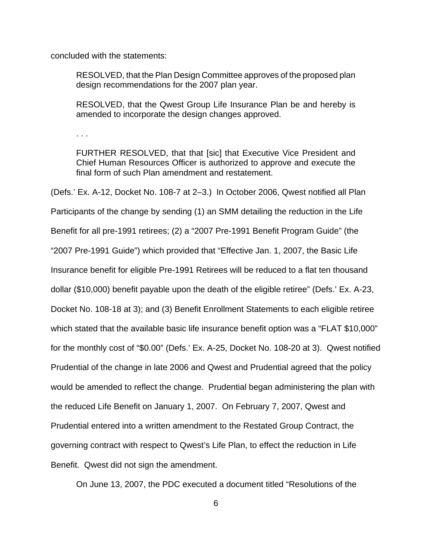concluded with the statements:

RESOLVED, that the Plan Design Committee approves of the proposed plan design recommendations for the 2007 plan year.

RESOLVED, that the Qwest Group Life Insurance Plan be and hereby is amended to incorporate the design changes approved.

. . .

FURTHER RESOLVED, that that [sic] that Executive Vice President and Chief Human Resources Officer is authorized to approve and execute the final form of such Plan amendment and restatement.

(Defs.' Ex. A-12, Docket No. 108-7 at 2–3.) In October 2006, Qwest notified all Plan Participants of the change by sending (1) an SMM detailing the reduction in the Life Benefit for all pre-1991 retirees; (2) a "2007 Pre-1991 Benefit Program Guide" (the "2007 Pre-1991 Guide") which provided that "Effective Jan. 1, 2007, the Basic Life Insurance benefit for eligible Pre-1991 Retirees will be reduced to a flat ten thousand dollar (\$10,000) benefit payable upon the death of the eligible retiree" (Defs.' Ex. A-23, Docket No. 108-18 at 3); and (3) Benefit Enrollment Statements to each eligible retiree which stated that the available basic life insurance benefit option was a "FLAT \$10,000" for the monthly cost of "\$0.00" (Defs.' Ex. A-25, Docket No. 108-20 at 3). Qwest notified Prudential of the change in late 2006 and Qwest and Prudential agreed that the policy would be amended to reflect the change. Prudential began administering the plan with the reduced Life Benefit on January 1, 2007. On February 7, 2007, Qwest and Prudential entered into a written amendment to the Restated Group Contract, the governing contract with respect to Qwest's Life Plan, to effect the reduction in Life Benefit. Qwest did not sign the amendment.

On June 13, 2007, the PDC executed a document titled "Resolutions of the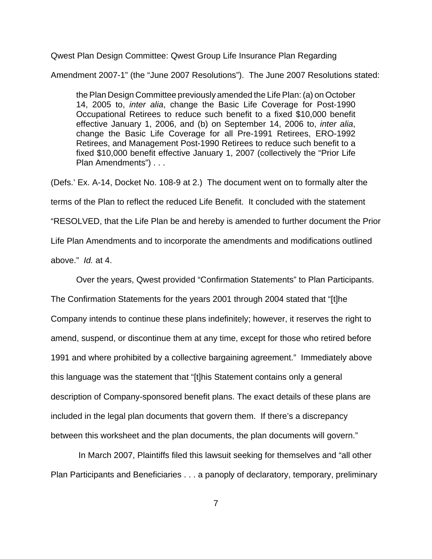Qwest Plan Design Committee: Qwest Group Life Insurance Plan Regarding

Amendment 2007-1" (the "June 2007 Resolutions"). The June 2007 Resolutions stated:

the Plan Design Committee previously amended the Life Plan: (a) on October 14, 2005 to, *inter alia*, change the Basic Life Coverage for Post-1990 Occupational Retirees to reduce such benefit to a fixed \$10,000 benefit effective January 1, 2006, and (b) on September 14, 2006 to, *inter alia*, change the Basic Life Coverage for all Pre-1991 Retirees, ERO-1992 Retirees, and Management Post-1990 Retirees to reduce such benefit to a fixed \$10,000 benefit effective January 1, 2007 (collectively the "Prior Life Plan Amendments") . . .

(Defs.' Ex. A-14, Docket No. 108-9 at 2.) The document went on to formally alter the terms of the Plan to reflect the reduced Life Benefit. It concluded with the statement "RESOLVED, that the Life Plan be and hereby is amended to further document the Prior Life Plan Amendments and to incorporate the amendments and modifications outlined above." *Id.* at 4.

Over the years, Qwest provided "Confirmation Statements" to Plan Participants.

The Confirmation Statements for the years 2001 through 2004 stated that "[t]he Company intends to continue these plans indefinitely; however, it reserves the right to amend, suspend, or discontinue them at any time, except for those who retired before 1991 and where prohibited by a collective bargaining agreement." Immediately above this language was the statement that "[t]his Statement contains only a general description of Company-sponsored benefit plans. The exact details of these plans are included in the legal plan documents that govern them. If there's a discrepancy between this worksheet and the plan documents, the plan documents will govern."

 In March 2007, Plaintiffs filed this lawsuit seeking for themselves and "all other Plan Participants and Beneficiaries . . . a panoply of declaratory, temporary, preliminary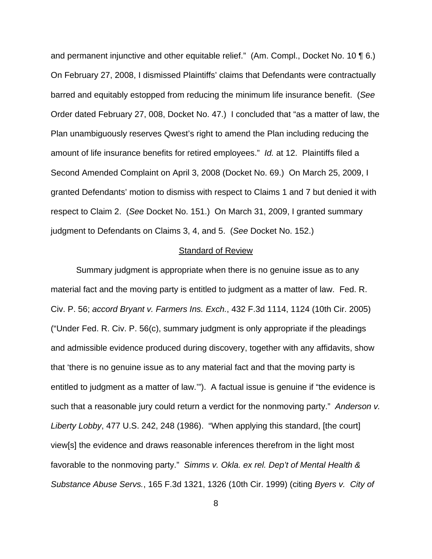and permanent injunctive and other equitable relief." (Am. Compl., Docket No. 10 \inf 6.) On February 27, 2008, I dismissed Plaintiffs' claims that Defendants were contractually barred and equitably estopped from reducing the minimum life insurance benefit. (*See* Order dated February 27, 008, Docket No. 47.) I concluded that "as a matter of law, the Plan unambiguously reserves Qwest's right to amend the Plan including reducing the amount of life insurance benefits for retired employees." *Id.* at 12. Plaintiffs filed a Second Amended Complaint on April 3, 2008 (Docket No. 69.) On March 25, 2009, I granted Defendants' motion to dismiss with respect to Claims 1 and 7 but denied it with respect to Claim 2. (*See* Docket No. 151.) On March 31, 2009, I granted summary judgment to Defendants on Claims 3, 4, and 5. (*See* Docket No. 152.)

#### Standard of Review

Summary judgment is appropriate when there is no genuine issue as to any material fact and the moving party is entitled to judgment as a matter of law. Fed. R. Civ. P. 56; *accord Bryant v. Farmers Ins. Exch.*, 432 F.3d 1114, 1124 (10th Cir. 2005) ("Under Fed. R. Civ. P. 56(c), summary judgment is only appropriate if the pleadings and admissible evidence produced during discovery, together with any affidavits, show that 'there is no genuine issue as to any material fact and that the moving party is entitled to judgment as a matter of law.'"). A factual issue is genuine if "the evidence is such that a reasonable jury could return a verdict for the nonmoving party." *Anderson v. Liberty Lobby*, 477 U.S. 242, 248 (1986). "When applying this standard, [the court] view[s] the evidence and draws reasonable inferences therefrom in the light most favorable to the nonmoving party." *Simms v. Okla. ex rel. Dep't of Mental Health & Substance Abuse Servs.*, 165 F.3d 1321, 1326 (10th Cir. 1999) (citing *Byers v. City of*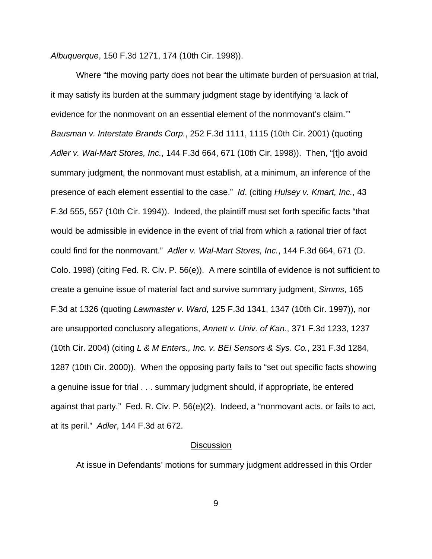*Albuquerque*, 150 F.3d 1271, 174 (10th Cir. 1998)).

Where "the moving party does not bear the ultimate burden of persuasion at trial, it may satisfy its burden at the summary judgment stage by identifying 'a lack of evidence for the nonmovant on an essential element of the nonmovant's claim.'" *Bausman v. Interstate Brands Corp.*, 252 F.3d 1111, 1115 (10th Cir. 2001) (quoting *Adler v. Wal-Mart Stores, Inc.*, 144 F.3d 664, 671 (10th Cir. 1998)). Then, "[t]o avoid summary judgment, the nonmovant must establish, at a minimum, an inference of the presence of each element essential to the case." *Id*. (citing *Hulsey v. Kmart, Inc.*, 43 F.3d 555, 557 (10th Cir. 1994)). Indeed, the plaintiff must set forth specific facts "that would be admissible in evidence in the event of trial from which a rational trier of fact could find for the nonmovant." *Adler v. Wal-Mart Stores, Inc.*, 144 F.3d 664, 671 (D. Colo. 1998) (citing Fed. R. Civ. P. 56(e)). A mere scintilla of evidence is not sufficient to create a genuine issue of material fact and survive summary judgment, *Simms*, 165 F.3d at 1326 (quoting *Lawmaster v. Ward*, 125 F.3d 1341, 1347 (10th Cir. 1997)), nor are unsupported conclusory allegations, *Annett v. Univ. of Kan.*, 371 F.3d 1233, 1237 (10th Cir. 2004) (citing *L & M Enters., Inc. v. BEI Sensors & Sys. Co.*, 231 F.3d 1284, 1287 (10th Cir. 2000)). When the opposing party fails to "set out specific facts showing a genuine issue for trial . . . summary judgment should, if appropriate, be entered against that party." Fed. R. Civ. P. 56(e)(2). Indeed, a "nonmovant acts, or fails to act, at its peril." *Adler*, 144 F.3d at 672.

#### **Discussion**

At issue in Defendants' motions for summary judgment addressed in this Order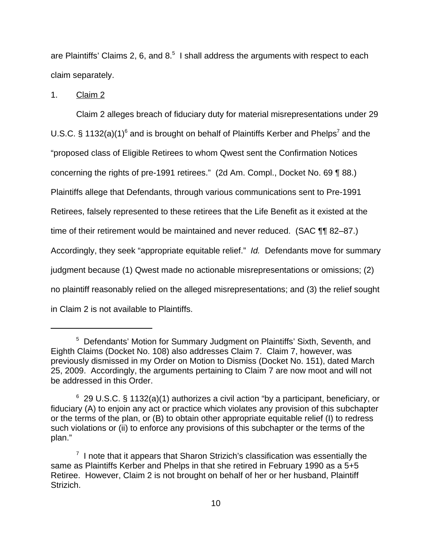are Plaintiffs' Claims 2, 6, and 8. $5$  I shall address the arguments with respect to each claim separately.

1. Claim 2

Claim 2 alleges breach of fiduciary duty for material misrepresentations under 29 U.S.C. § 1132(a)(1)<sup>6</sup> and is brought on behalf of Plaintiffs Kerber and Phelps<sup>7</sup> and the "proposed class of Eligible Retirees to whom Qwest sent the Confirmation Notices concerning the rights of pre-1991 retirees." (2d Am. Compl., Docket No. 69 ¶ 88.) Plaintiffs allege that Defendants, through various communications sent to Pre-1991 Retirees, falsely represented to these retirees that the Life Benefit as it existed at the time of their retirement would be maintained and never reduced. (SAC ¶¶ 82–87.) Accordingly, they seek "appropriate equitable relief." *Id.* Defendants move for summary judgment because (1) Qwest made no actionable misrepresentations or omissions; (2) no plaintiff reasonably relied on the alleged misrepresentations; and (3) the relief sought in Claim 2 is not available to Plaintiffs.

<sup>&</sup>lt;sup>5</sup> Defendants' Motion for Summary Judgment on Plaintiffs' Sixth, Seventh, and Eighth Claims (Docket No. 108) also addresses Claim 7. Claim 7, however, was previously dismissed in my Order on Motion to Dismiss (Docket No. 151), dated March 25, 2009. Accordingly, the arguments pertaining to Claim 7 are now moot and will not be addressed in this Order.

 $6$  29 U.S.C. § 1132(a)(1) authorizes a civil action "by a participant, beneficiary, or fiduciary (A) to enjoin any act or practice which violates any provision of this subchapter or the terms of the plan, or (B) to obtain other appropriate equitable relief (I) to redress such violations or (ii) to enforce any provisions of this subchapter or the terms of the plan."

 $7$  I note that it appears that Sharon Strizich's classification was essentially the same as Plaintiffs Kerber and Phelps in that she retired in February 1990 as a 5+5 Retiree. However, Claim 2 is not brought on behalf of her or her husband, Plaintiff Strizich.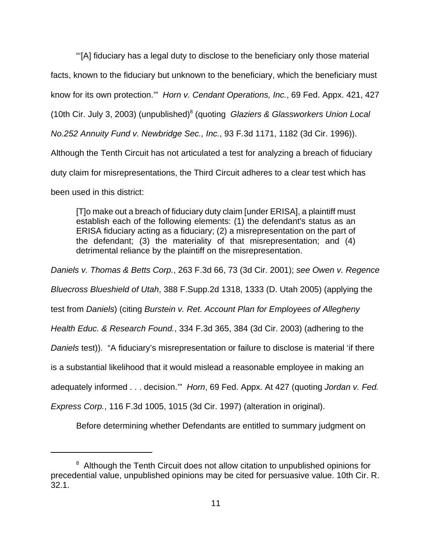"'[A] fiduciary has a legal duty to disclose to the beneficiary only those material facts, known to the fiduciary but unknown to the beneficiary, which the beneficiary must know for its own protection.'" *Horn v. Cendant Operations, Inc.*, 69 Fed. Appx. 421, 427 (10th Cir. July 3, 2003) (unpublished)<sup>8</sup> (quoting *Glaziers & Glassworkers Union Local No.252 Annuity Fund v. Newbridge Sec., Inc.*, 93 F.3d 1171, 1182 (3d Cir. 1996)). Although the Tenth Circuit has not articulated a test for analyzing a breach of fiduciary duty claim for misrepresentations, the Third Circuit adheres to a clear test which has

been used in this district:

[T]o make out a breach of fiduciary duty claim [under ERISA], a plaintiff must establish each of the following elements: (1) the defendant's status as an ERISA fiduciary acting as a fiduciary; (2) a misrepresentation on the part of the defendant; (3) the materiality of that misrepresentation; and (4) detrimental reliance by the plaintiff on the misrepresentation.

*Daniels v. Thomas & Betts Corp.*, 263 F.3d 66, 73 (3d Cir. 2001); *see Owen v. Regence Bluecross Blueshield of Utah*, 388 F.Supp.2d 1318, 1333 (D. Utah 2005) (applying the test from *Daniels*) (citing *Burstein v. Ret. Account Plan for Employees of Allegheny Health Educ. & Research Found.*, 334 F.3d 365, 384 (3d Cir. 2003) (adhering to the *Daniels* test)). "A fiduciary's misrepresentation or failure to disclose is material 'if there is a substantial likelihood that it would mislead a reasonable employee in making an adequately informed . . . decision.'" *Horn*, 69 Fed. Appx. At 427 (quoting *Jordan v. Fed. Express Corp.*, 116 F.3d 1005, 1015 (3d Cir. 1997) (alteration in original).

Before determining whether Defendants are entitled to summary judgment on

<sup>&</sup>lt;sup>8</sup> Although the Tenth Circuit does not allow citation to unpublished opinions for precedential value, unpublished opinions may be cited for persuasive value. 10th Cir. R. 32.1.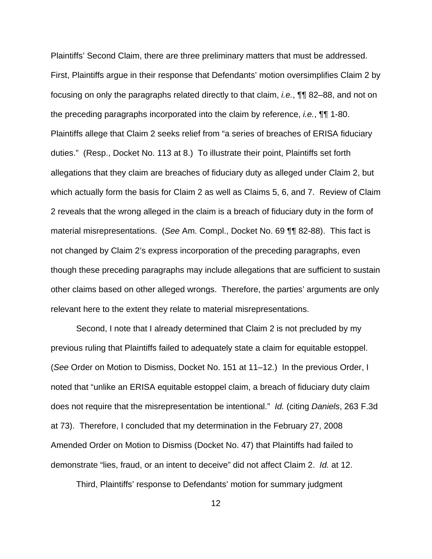Plaintiffs' Second Claim, there are three preliminary matters that must be addressed. First, Plaintiffs argue in their response that Defendants' motion oversimplifies Claim 2 by focusing on only the paragraphs related directly to that claim, *i.e.*, ¶¶ 82–88, and not on the preceding paragraphs incorporated into the claim by reference, *i.e.*, ¶¶ 1-80. Plaintiffs allege that Claim 2 seeks relief from "a series of breaches of ERISA fiduciary duties." (Resp., Docket No. 113 at 8.) To illustrate their point, Plaintiffs set forth allegations that they claim are breaches of fiduciary duty as alleged under Claim 2, but which actually form the basis for Claim 2 as well as Claims 5, 6, and 7. Review of Claim 2 reveals that the wrong alleged in the claim is a breach of fiduciary duty in the form of material misrepresentations. (*See* Am. Compl., Docket No. 69 ¶¶ 82-88). This fact is not changed by Claim 2's express incorporation of the preceding paragraphs, even though these preceding paragraphs may include allegations that are sufficient to sustain other claims based on other alleged wrongs. Therefore, the parties' arguments are only relevant here to the extent they relate to material misrepresentations.

Second, I note that I already determined that Claim 2 is not precluded by my previous ruling that Plaintiffs failed to adequately state a claim for equitable estoppel. (*See* Order on Motion to Dismiss, Docket No. 151 at 11–12.) In the previous Order, I noted that "unlike an ERISA equitable estoppel claim, a breach of fiduciary duty claim does not require that the misrepresentation be intentional." *Id.* (citing *Daniels*, 263 F.3d at 73). Therefore, I concluded that my determination in the February 27, 2008 Amended Order on Motion to Dismiss (Docket No. 47) that Plaintiffs had failed to demonstrate "lies, fraud, or an intent to deceive" did not affect Claim 2. *Id.* at 12.

Third, Plaintiffs' response to Defendants' motion for summary judgment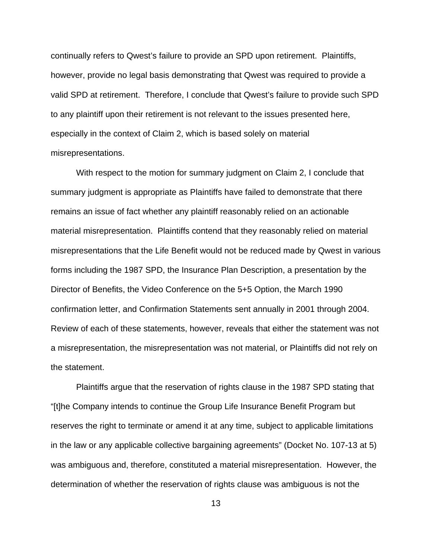continually refers to Qwest's failure to provide an SPD upon retirement. Plaintiffs, however, provide no legal basis demonstrating that Qwest was required to provide a valid SPD at retirement. Therefore, I conclude that Qwest's failure to provide such SPD to any plaintiff upon their retirement is not relevant to the issues presented here, especially in the context of Claim 2, which is based solely on material misrepresentations.

With respect to the motion for summary judgment on Claim 2, I conclude that summary judgment is appropriate as Plaintiffs have failed to demonstrate that there remains an issue of fact whether any plaintiff reasonably relied on an actionable material misrepresentation. Plaintiffs contend that they reasonably relied on material misrepresentations that the Life Benefit would not be reduced made by Qwest in various forms including the 1987 SPD, the Insurance Plan Description, a presentation by the Director of Benefits, the Video Conference on the 5+5 Option, the March 1990 confirmation letter, and Confirmation Statements sent annually in 2001 through 2004. Review of each of these statements, however, reveals that either the statement was not a misrepresentation, the misrepresentation was not material, or Plaintiffs did not rely on the statement.

Plaintiffs argue that the reservation of rights clause in the 1987 SPD stating that "[t]he Company intends to continue the Group Life Insurance Benefit Program but reserves the right to terminate or amend it at any time, subject to applicable limitations in the law or any applicable collective bargaining agreements" (Docket No. 107-13 at 5) was ambiguous and, therefore, constituted a material misrepresentation. However, the determination of whether the reservation of rights clause was ambiguous is not the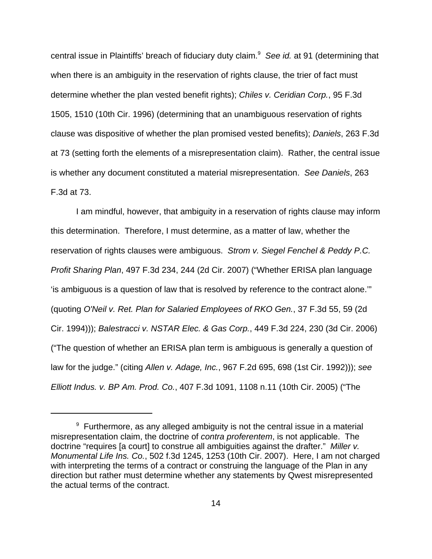central issue in Plaintiffs' breach of fiduciary duty claim.<sup>9</sup> See id. at 91 (determining that when there is an ambiguity in the reservation of rights clause, the trier of fact must determine whether the plan vested benefit rights); *Chiles v. Ceridian Corp.*, 95 F.3d 1505, 1510 (10th Cir. 1996) (determining that an unambiguous reservation of rights clause was dispositive of whether the plan promised vested benefits); *Daniels*, 263 F.3d at 73 (setting forth the elements of a misrepresentation claim). Rather, the central issue is whether any document constituted a material misrepresentation. *See Daniels*, 263 F.3d at 73.

I am mindful, however, that ambiguity in a reservation of rights clause may inform this determination. Therefore, I must determine, as a matter of law, whether the reservation of rights clauses were ambiguous. *Strom v. Siegel Fenchel & Peddy P.C. Profit Sharing Plan*, 497 F.3d 234, 244 (2d Cir. 2007) ("Whether ERISA plan language 'is ambiguous is a question of law that is resolved by reference to the contract alone.'" (quoting *O'Neil v. Ret. Plan for Salaried Employees of RKO Gen.*, 37 F.3d 55, 59 (2d Cir. 1994))); *Balestracci v. NSTAR Elec. & Gas Corp.*, 449 F.3d 224, 230 (3d Cir. 2006) ("The question of whether an ERISA plan term is ambiguous is generally a question of law for the judge." (citing *Allen v. Adage, Inc.*, 967 F.2d 695, 698 (1st Cir. 1992))); *see Elliott Indus. v. BP Am. Prod. Co.*, 407 F.3d 1091, 1108 n.11 (10th Cir. 2005) ("The

 $9$  Furthermore, as any alleged ambiguity is not the central issue in a material misrepresentation claim, the doctrine of *contra proferentem*, is not applicable. The doctrine "requires [a court] to construe all ambiguities against the drafter." *Miller v. Monumental Life Ins. Co.*, 502 f.3d 1245, 1253 (10th Cir. 2007). Here, I am not charged with interpreting the terms of a contract or construing the language of the Plan in any direction but rather must determine whether any statements by Qwest misrepresented the actual terms of the contract.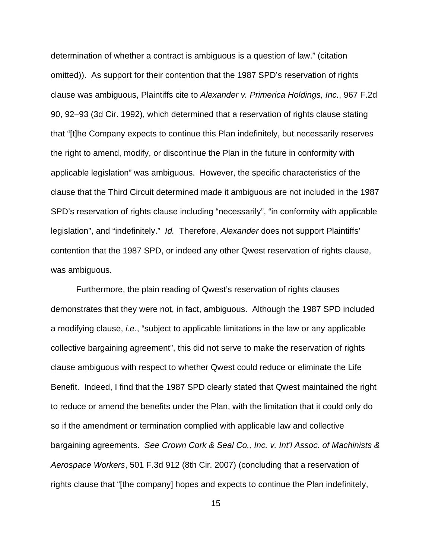determination of whether a contract is ambiguous is a question of law." (citation omitted)). As support for their contention that the 1987 SPD's reservation of rights clause was ambiguous, Plaintiffs cite to *Alexander v. Primerica Holdings, Inc.*, 967 F.2d 90, 92–93 (3d Cir. 1992), which determined that a reservation of rights clause stating that "[t]he Company expects to continue this Plan indefinitely, but necessarily reserves the right to amend, modify, or discontinue the Plan in the future in conformity with applicable legislation" was ambiguous. However, the specific characteristics of the clause that the Third Circuit determined made it ambiguous are not included in the 1987 SPD's reservation of rights clause including "necessarily", "in conformity with applicable legislation", and "indefinitely." *Id.* Therefore, *Alexander* does not support Plaintiffs' contention that the 1987 SPD, or indeed any other Qwest reservation of rights clause, was ambiguous.

Furthermore, the plain reading of Qwest's reservation of rights clauses demonstrates that they were not, in fact, ambiguous. Although the 1987 SPD included a modifying clause, *i.e.*, "subject to applicable limitations in the law or any applicable collective bargaining agreement", this did not serve to make the reservation of rights clause ambiguous with respect to whether Qwest could reduce or eliminate the Life Benefit. Indeed, I find that the 1987 SPD clearly stated that Qwest maintained the right to reduce or amend the benefits under the Plan, with the limitation that it could only do so if the amendment or termination complied with applicable law and collective bargaining agreements. *See Crown Cork & Seal Co., Inc. v. Int'l Assoc. of Machinists & Aerospace Workers*, 501 F.3d 912 (8th Cir. 2007) (concluding that a reservation of rights clause that "[the company] hopes and expects to continue the Plan indefinitely,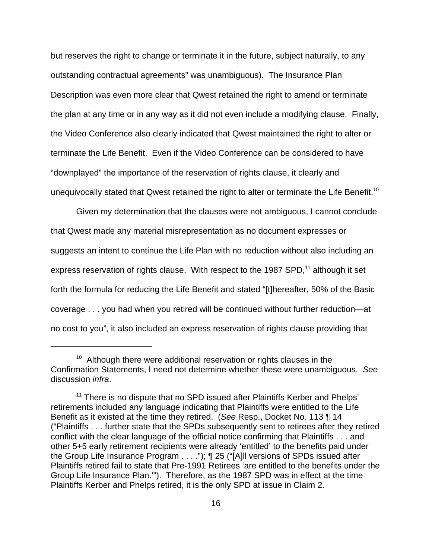but reserves the right to change or terminate it in the future, subject naturally, to any outstanding contractual agreements" was unambiguous). The Insurance Plan Description was even more clear that Qwest retained the right to amend or terminate the plan at any time or in any way as it did not even include a modifying clause. Finally, the Video Conference also clearly indicated that Qwest maintained the right to alter or terminate the Life Benefit. Even if the Video Conference can be considered to have "downplayed" the importance of the reservation of rights clause, it clearly and unequivocally stated that Qwest retained the right to alter or terminate the Life Benefit.<sup>10</sup>

Given my determination that the clauses were not ambiguous, I cannot conclude that Qwest made any material misrepresentation as no document expresses or suggests an intent to continue the Life Plan with no reduction without also including an express reservation of rights clause. With respect to the 1987 SPD,<sup>11</sup> although it set forth the formula for reducing the Life Benefit and stated "[t]hereafter, 50% of the Basic coverage . . . you had when you retired will be continued without further reduction—at no cost to you", it also included an express reservation of rights clause providing that

 $10<sup>10</sup>$  Although there were additional reservation or rights clauses in the Confirmation Statements, I need not determine whether these were unambiguous. *See* discussion *infra*.

<sup>&</sup>lt;sup>11</sup> There is no dispute that no SPD issued after Plaintiffs Kerber and Phelps' retirements included any language indicating that Plaintiffs were entitled to the Life Benefit as it existed at the time they retired. (*See* Resp., Docket No. 113 ¶ 14 ("Plaintiffs . . . further state that the SPDs subsequently sent to retirees after they retired conflict with the clear language of the official notice confirming that Plaintiffs . . . and other 5+5 early retirement recipients were already 'entitled' to the benefits paid under the Group Life Insurance Program . . . ."); ¶ 25 ("[A]ll versions of SPDs issued after Plaintiffs retired fail to state that Pre-1991 Retirees 'are entitled to the benefits under the Group Life Insurance Plan.'"). Therefore, as the 1987 SPD was in effect at the time Plaintiffs Kerber and Phelps retired, it is the only SPD at issue in Claim 2.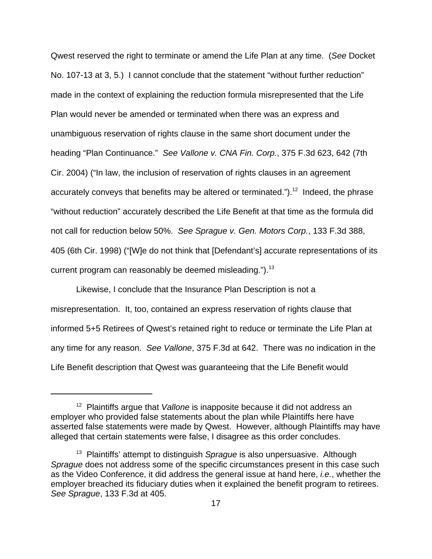Qwest reserved the right to terminate or amend the Life Plan at any time. (*See* Docket No. 107-13 at 3, 5.) I cannot conclude that the statement "without further reduction" made in the context of explaining the reduction formula misrepresented that the Life Plan would never be amended or terminated when there was an express and unambiguous reservation of rights clause in the same short document under the heading "Plan Continuance." *See Vallone v. CNA Fin. Corp.*, 375 F.3d 623, 642 (7th Cir. 2004) ("In law, the inclusion of reservation of rights clauses in an agreement accurately conveys that benefits may be altered or terminated.").<sup>12</sup> Indeed, the phrase "without reduction" accurately described the Life Benefit at that time as the formula did not call for reduction below 50%. *See Sprague v. Gen. Motors Corp.*, 133 F.3d 388, 405 (6th Cir. 1998) ("[W]e do not think that [Defendant's] accurate representations of its current program can reasonably be deemed misleading.").<sup>13</sup>

Likewise, I conclude that the Insurance Plan Description is not a misrepresentation. It, too, contained an express reservation of rights clause that informed 5+5 Retirees of Qwest's retained right to reduce or terminate the Life Plan at any time for any reason. *See Vallone*, 375 F.3d at 642. There was no indication in the Life Benefit description that Qwest was guaranteeing that the Life Benefit would

<sup>&</sup>lt;sup>12</sup> Plaintiffs arque that *Vallone* is inapposite because it did not address an employer who provided false statements about the plan while Plaintiffs here have asserted false statements were made by Qwest. However, although Plaintiffs may have alleged that certain statements were false, I disagree as this order concludes.

<sup>&</sup>lt;sup>13</sup> Plaintiffs' attempt to distinguish *Sprague* is also unpersuasive. Although *Sprague* does not address some of the specific circumstances present in this case such as the Video Conference, it did address the general issue at hand here, *i.e.*, whether the employer breached its fiduciary duties when it explained the benefit program to retirees. *See Sprague*, 133 F.3d at 405.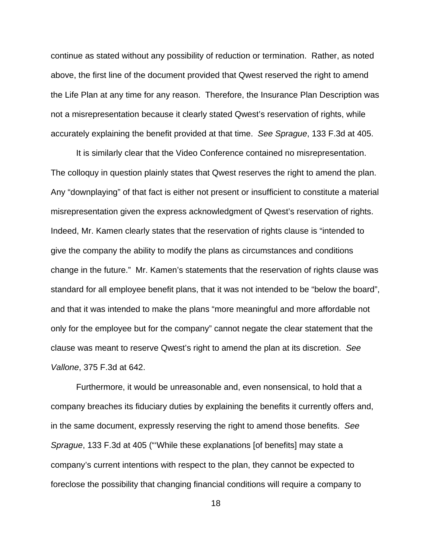continue as stated without any possibility of reduction or termination. Rather, as noted above, the first line of the document provided that Qwest reserved the right to amend the Life Plan at any time for any reason. Therefore, the Insurance Plan Description was not a misrepresentation because it clearly stated Qwest's reservation of rights, while accurately explaining the benefit provided at that time. *See Sprague*, 133 F.3d at 405.

It is similarly clear that the Video Conference contained no misrepresentation. The colloquy in question plainly states that Qwest reserves the right to amend the plan. Any "downplaying" of that fact is either not present or insufficient to constitute a material misrepresentation given the express acknowledgment of Qwest's reservation of rights. Indeed, Mr. Kamen clearly states that the reservation of rights clause is "intended to give the company the ability to modify the plans as circumstances and conditions change in the future." Mr. Kamen's statements that the reservation of rights clause was standard for all employee benefit plans, that it was not intended to be "below the board", and that it was intended to make the plans "more meaningful and more affordable not only for the employee but for the company" cannot negate the clear statement that the clause was meant to reserve Qwest's right to amend the plan at its discretion. *See Vallone*, 375 F.3d at 642.

Furthermore, it would be unreasonable and, even nonsensical, to hold that a company breaches its fiduciary duties by explaining the benefits it currently offers and, in the same document, expressly reserving the right to amend those benefits. *See Sprague*, 133 F.3d at 405 ("'While these explanations [of benefits] may state a company's current intentions with respect to the plan, they cannot be expected to foreclose the possibility that changing financial conditions will require a company to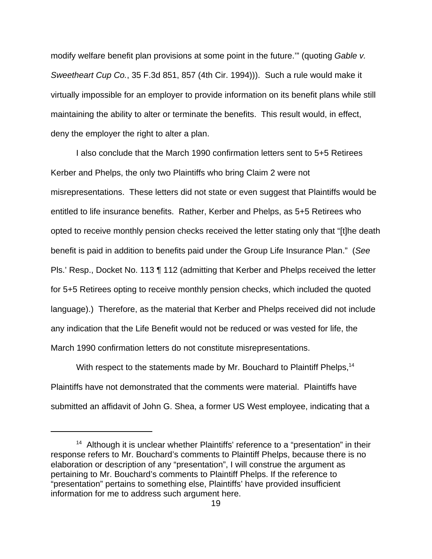modify welfare benefit plan provisions at some point in the future.'" (quoting *Gable v. Sweetheart Cup Co.*, 35 F.3d 851, 857 (4th Cir. 1994))). Such a rule would make it virtually impossible for an employer to provide information on its benefit plans while still maintaining the ability to alter or terminate the benefits. This result would, in effect, deny the employer the right to alter a plan.

I also conclude that the March 1990 confirmation letters sent to 5+5 Retirees Kerber and Phelps, the only two Plaintiffs who bring Claim 2 were not misrepresentations. These letters did not state or even suggest that Plaintiffs would be entitled to life insurance benefits. Rather, Kerber and Phelps, as 5+5 Retirees who opted to receive monthly pension checks received the letter stating only that "[t]he death benefit is paid in addition to benefits paid under the Group Life Insurance Plan." (*See* Pls.' Resp., Docket No. 113 ¶ 112 (admitting that Kerber and Phelps received the letter for 5+5 Retirees opting to receive monthly pension checks, which included the quoted language).) Therefore, as the material that Kerber and Phelps received did not include any indication that the Life Benefit would not be reduced or was vested for life, the March 1990 confirmation letters do not constitute misrepresentations.

With respect to the statements made by Mr. Bouchard to Plaintiff Phelps,<sup>14</sup> Plaintiffs have not demonstrated that the comments were material. Plaintiffs have submitted an affidavit of John G. Shea, a former US West employee, indicating that a

<sup>&</sup>lt;sup>14</sup> Although it is unclear whether Plaintiffs' reference to a "presentation" in their response refers to Mr. Bouchard's comments to Plaintiff Phelps, because there is no elaboration or description of any "presentation", I will construe the argument as pertaining to Mr. Bouchard's comments to Plaintiff Phelps. If the reference to "presentation" pertains to something else, Plaintiffs' have provided insufficient information for me to address such argument here.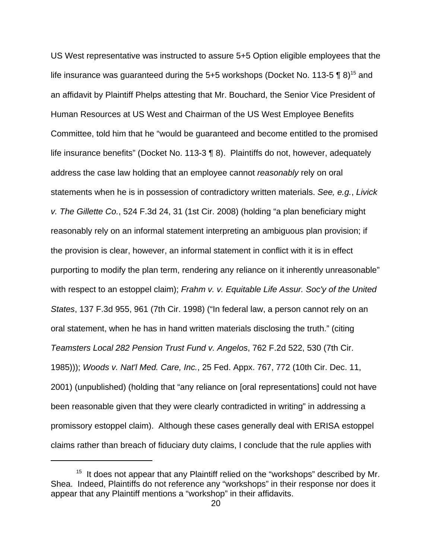US West representative was instructed to assure 5+5 Option eligible employees that the life insurance was guaranteed during the 5+5 workshops (Docket No. 113-5  $\P$  8)<sup>15</sup> and an affidavit by Plaintiff Phelps attesting that Mr. Bouchard, the Senior Vice President of Human Resources at US West and Chairman of the US West Employee Benefits Committee, told him that he "would be guaranteed and become entitled to the promised life insurance benefits" (Docket No. 113-3 ¶ 8). Plaintiffs do not, however, adequately address the case law holding that an employee cannot *reasonably* rely on oral statements when he is in possession of contradictory written materials. *See, e.g.*, *Livick v. The Gillette Co.*, 524 F.3d 24, 31 (1st Cir. 2008) (holding "a plan beneficiary might reasonably rely on an informal statement interpreting an ambiguous plan provision; if the provision is clear, however, an informal statement in conflict with it is in effect purporting to modify the plan term, rendering any reliance on it inherently unreasonable" with respect to an estoppel claim); *Frahm v. v. Equitable Life Assur. Soc'y of the United States*, 137 F.3d 955, 961 (7th Cir. 1998) ("In federal law, a person cannot rely on an oral statement, when he has in hand written materials disclosing the truth." (citing *Teamsters Local 282 Pension Trust Fund v. Angelos*, 762 F.2d 522, 530 (7th Cir. 1985))); *Woods v. Nat'l Med. Care, Inc.*, 25 Fed. Appx. 767, 772 (10th Cir. Dec. 11, 2001) (unpublished) (holding that "any reliance on [oral representations] could not have been reasonable given that they were clearly contradicted in writing" in addressing a promissory estoppel claim). Although these cases generally deal with ERISA estoppel claims rather than breach of fiduciary duty claims, I conclude that the rule applies with

<sup>&</sup>lt;sup>15</sup> It does not appear that any Plaintiff relied on the "workshops" described by Mr. Shea. Indeed, Plaintiffs do not reference any "workshops" in their response nor does it appear that any Plaintiff mentions a "workshop" in their affidavits.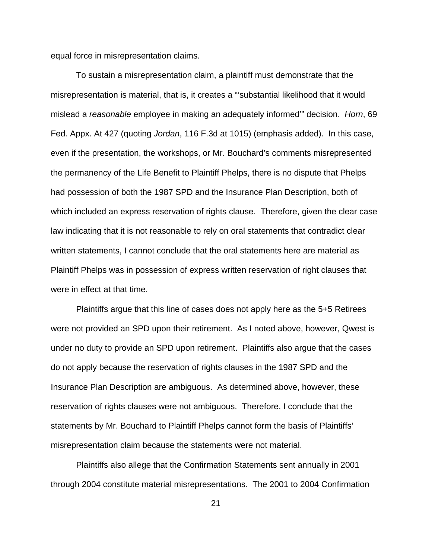equal force in misrepresentation claims.

To sustain a misrepresentation claim, a plaintiff must demonstrate that the misrepresentation is material, that is, it creates a "'substantial likelihood that it would mislead a *reasonable* employee in making an adequately informed'" decision. *Horn*, 69 Fed. Appx. At 427 (quoting *Jordan*, 116 F.3d at 1015) (emphasis added). In this case, even if the presentation, the workshops, or Mr. Bouchard's comments misrepresented the permanency of the Life Benefit to Plaintiff Phelps, there is no dispute that Phelps had possession of both the 1987 SPD and the Insurance Plan Description, both of which included an express reservation of rights clause. Therefore, given the clear case law indicating that it is not reasonable to rely on oral statements that contradict clear written statements, I cannot conclude that the oral statements here are material as Plaintiff Phelps was in possession of express written reservation of right clauses that were in effect at that time.

Plaintiffs argue that this line of cases does not apply here as the 5+5 Retirees were not provided an SPD upon their retirement. As I noted above, however, Qwest is under no duty to provide an SPD upon retirement. Plaintiffs also argue that the cases do not apply because the reservation of rights clauses in the 1987 SPD and the Insurance Plan Description are ambiguous. As determined above, however, these reservation of rights clauses were not ambiguous. Therefore, I conclude that the statements by Mr. Bouchard to Plaintiff Phelps cannot form the basis of Plaintiffs' misrepresentation claim because the statements were not material.

Plaintiffs also allege that the Confirmation Statements sent annually in 2001 through 2004 constitute material misrepresentations. The 2001 to 2004 Confirmation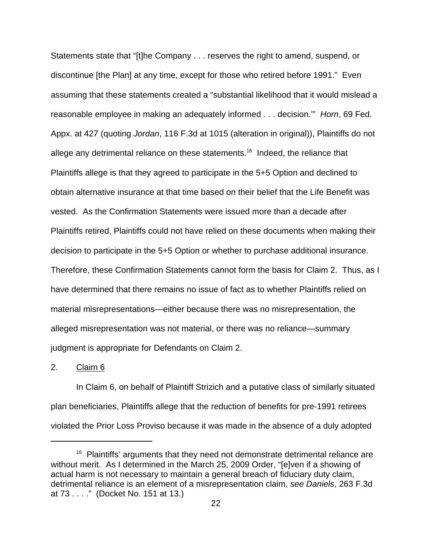Statements state that "[t]he Company . . . reserves the right to amend, suspend, or discontinue [the Plan] at any time, except for those who retired before 1991." Even assuming that these statements created a "substantial likelihood that it would mislead a reasonable employee in making an adequately informed . . . decision.'" *Horn*, 69 Fed. Appx. at 427 (quoting *Jordan*, 116 F.3d at 1015 (alteration in original)), Plaintiffs do not allege any detrimental reliance on these statements.<sup>16</sup> Indeed, the reliance that Plaintiffs allege is that they agreed to participate in the 5+5 Option and declined to obtain alternative insurance at that time based on their belief that the Life Benefit was vested. As the Confirmation Statements were issued more than a decade after Plaintiffs retired, Plaintiffs could not have relied on these documents when making their decision to participate in the 5+5 Option or whether to purchase additional insurance. Therefore, these Confirmation Statements cannot form the basis for Claim 2. Thus, as I have determined that there remains no issue of fact as to whether Plaintiffs relied on material misrepresentations—either because there was no misrepresentation, the alleged misrepresentation was not material, or there was no reliance—summary judgment is appropriate for Defendants on Claim 2.

2. Claim 6

In Claim 6, on behalf of Plaintiff Strizich and a putative class of similarly situated plan beneficiaries, Plaintiffs allege that the reduction of benefits for pre-1991 retirees violated the Prior Loss Proviso because it was made in the absence of a duly adopted

 $16$  Plaintiffs' arguments that they need not demonstrate detrimental reliance are without merit. As I determined in the March 25, 2009 Order, "[e]ven if a showing of actual harm is not necessary to maintain a general breach of fiduciary duty claim, detrimental reliance is an element of a misrepresentation claim, *see Daniels*, 263 F.3d at 73 . . . ." (Docket No. 151 at 13.)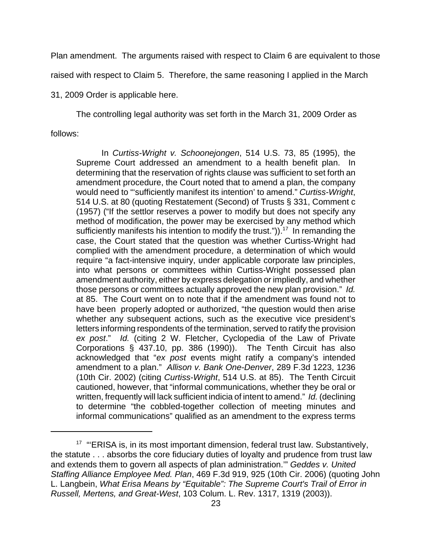Plan amendment. The arguments raised with respect to Claim 6 are equivalent to those raised with respect to Claim 5. Therefore, the same reasoning I applied in the March 31, 2009 Order is applicable here.

The controlling legal authority was set forth in the March 31, 2009 Order as follows:

In *Curtiss-Wright v. Schoonejongen*, 514 U.S. 73, 85 (1995), the Supreme Court addressed an amendment to a health benefit plan. In determining that the reservation of rights clause was sufficient to set forth an amendment procedure, the Court noted that to amend a plan, the company would need to "'sufficiently manifest its intention' to amend." *Curtiss-Wright*, 514 U.S. at 80 (quoting Restatement (Second) of Trusts § 331, Comment c (1957) ("If the settlor reserves a power to modify but does not specify any method of modification, the power may be exercised by any method which sufficiently manifests his intention to modify the trust.")).<sup>17</sup> In remanding the case, the Court stated that the question was whether Curtiss-Wright had complied with the amendment procedure, a determination of which would require "a fact-intensive inquiry, under applicable corporate law principles, into what persons or committees within Curtiss-Wright possessed plan amendment authority, either by express delegation or impliedly, and whether those persons or committees actually approved the new plan provision." *Id.* at 85. The Court went on to note that if the amendment was found not to have been properly adopted or authorized, "the question would then arise whether any subsequent actions, such as the executive vice president's letters informing respondents of the termination, served to ratify the provision *ex post*." *Id.* (citing 2 W. Fletcher, Cyclopedia of the Law of Private Corporations § 437.10, pp. 386 (1990)). The Tenth Circuit has also acknowledged that "*ex post* events might ratify a company's intended amendment to a plan." *Allison v. Bank One-Denver*, 289 F.3d 1223, 1236 (10th Cir. 2002) (citing *Curtiss-Wright*, 514 U.S. at 85). The Tenth Circuit cautioned, however, that "informal communications, whether they be oral or written, frequently will lack sufficient indicia of intent to amend." *Id.* (declining to determine "the cobbled-together collection of meeting minutes and informal communications" qualified as an amendment to the express terms

<sup>&</sup>lt;sup>17</sup> "ERISA is, in its most important dimension, federal trust law. Substantively, the statute . . . absorbs the core fiduciary duties of loyalty and prudence from trust law and extends them to govern all aspects of plan administration.'" *Geddes v. United Staffing Alliance Employee Med. Plan*, 469 F.3d 919, 925 (10th Cir. 2006) (quoting John L. Langbein, *What Erisa Means by "Equitable": The Supreme Court's Trail of Error in Russell, Mertens, and Great-West*, 103 Colum. L. Rev. 1317, 1319 (2003)).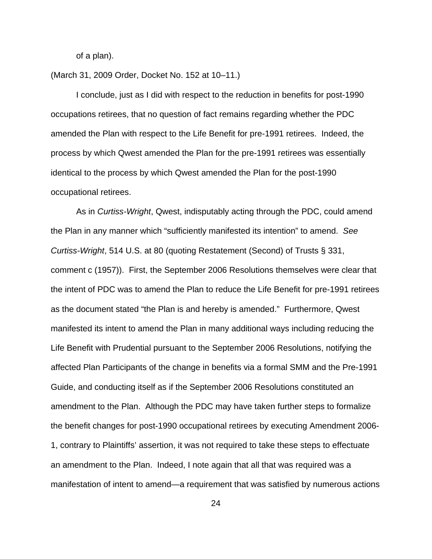of a plan).

(March 31, 2009 Order, Docket No. 152 at 10–11.)

I conclude, just as I did with respect to the reduction in benefits for post-1990 occupations retirees, that no question of fact remains regarding whether the PDC amended the Plan with respect to the Life Benefit for pre-1991 retirees. Indeed, the process by which Qwest amended the Plan for the pre-1991 retirees was essentially identical to the process by which Qwest amended the Plan for the post-1990 occupational retirees.

As in *Curtiss-Wright*, Qwest, indisputably acting through the PDC, could amend the Plan in any manner which "sufficiently manifested its intention" to amend. *See Curtiss-Wright*, 514 U.S. at 80 (quoting Restatement (Second) of Trusts § 331, comment c (1957)). First, the September 2006 Resolutions themselves were clear that the intent of PDC was to amend the Plan to reduce the Life Benefit for pre-1991 retirees as the document stated "the Plan is and hereby is amended." Furthermore, Qwest manifested its intent to amend the Plan in many additional ways including reducing the Life Benefit with Prudential pursuant to the September 2006 Resolutions, notifying the affected Plan Participants of the change in benefits via a formal SMM and the Pre-1991 Guide, and conducting itself as if the September 2006 Resolutions constituted an amendment to the Plan. Although the PDC may have taken further steps to formalize the benefit changes for post-1990 occupational retirees by executing Amendment 2006- 1, contrary to Plaintiffs' assertion, it was not required to take these steps to effectuate an amendment to the Plan. Indeed, I note again that all that was required was a manifestation of intent to amend—a requirement that was satisfied by numerous actions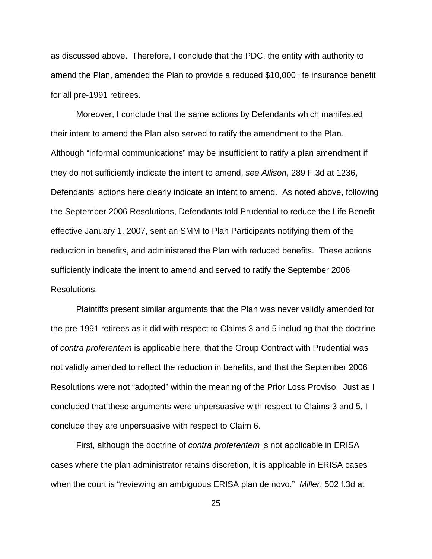as discussed above. Therefore, I conclude that the PDC, the entity with authority to amend the Plan, amended the Plan to provide a reduced \$10,000 life insurance benefit for all pre-1991 retirees.

Moreover, I conclude that the same actions by Defendants which manifested their intent to amend the Plan also served to ratify the amendment to the Plan. Although "informal communications" may be insufficient to ratify a plan amendment if they do not sufficiently indicate the intent to amend, *see Allison*, 289 F.3d at 1236, Defendants' actions here clearly indicate an intent to amend. As noted above, following the September 2006 Resolutions, Defendants told Prudential to reduce the Life Benefit effective January 1, 2007, sent an SMM to Plan Participants notifying them of the reduction in benefits, and administered the Plan with reduced benefits. These actions sufficiently indicate the intent to amend and served to ratify the September 2006 Resolutions.

Plaintiffs present similar arguments that the Plan was never validly amended for the pre-1991 retirees as it did with respect to Claims 3 and 5 including that the doctrine of *contra proferentem* is applicable here, that the Group Contract with Prudential was not validly amended to reflect the reduction in benefits, and that the September 2006 Resolutions were not "adopted" within the meaning of the Prior Loss Proviso. Just as I concluded that these arguments were unpersuasive with respect to Claims 3 and 5, I conclude they are unpersuasive with respect to Claim 6.

First, although the doctrine of *contra proferentem* is not applicable in ERISA cases where the plan administrator retains discretion, it is applicable in ERISA cases when the court is "reviewing an ambiguous ERISA plan de novo." *Miller*, 502 f.3d at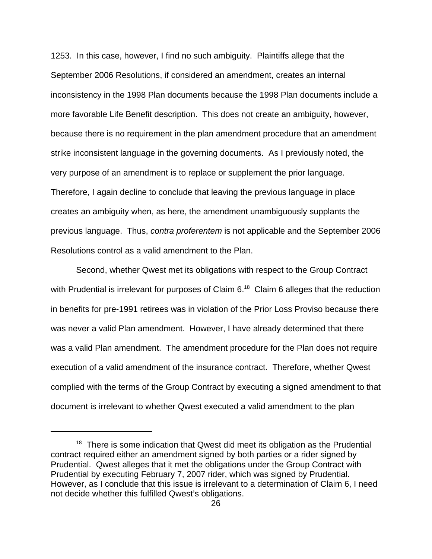1253. In this case, however, I find no such ambiguity. Plaintiffs allege that the September 2006 Resolutions, if considered an amendment, creates an internal inconsistency in the 1998 Plan documents because the 1998 Plan documents include a more favorable Life Benefit description. This does not create an ambiguity, however, because there is no requirement in the plan amendment procedure that an amendment strike inconsistent language in the governing documents. As I previously noted, the very purpose of an amendment is to replace or supplement the prior language. Therefore, I again decline to conclude that leaving the previous language in place creates an ambiguity when, as here, the amendment unambiguously supplants the previous language. Thus, *contra proferentem* is not applicable and the September 2006 Resolutions control as a valid amendment to the Plan.

Second, whether Qwest met its obligations with respect to the Group Contract with Prudential is irrelevant for purposes of Claim  $6^{18}$  Claim 6 alleges that the reduction in benefits for pre-1991 retirees was in violation of the Prior Loss Proviso because there was never a valid Plan amendment. However, I have already determined that there was a valid Plan amendment. The amendment procedure for the Plan does not require execution of a valid amendment of the insurance contract. Therefore, whether Qwest complied with the terms of the Group Contract by executing a signed amendment to that document is irrelevant to whether Qwest executed a valid amendment to the plan

 $18$  There is some indication that Qwest did meet its obligation as the Prudential contract required either an amendment signed by both parties or a rider signed by Prudential. Qwest alleges that it met the obligations under the Group Contract with Prudential by executing February 7, 2007 rider, which was signed by Prudential. However, as I conclude that this issue is irrelevant to a determination of Claim 6, I need not decide whether this fulfilled Qwest's obligations.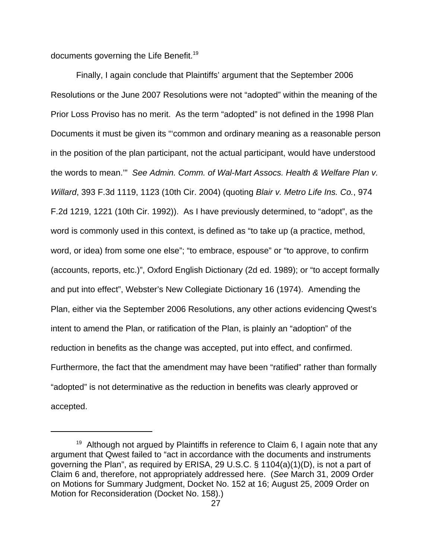documents governing the Life Benefit.<sup>19</sup>

Finally, I again conclude that Plaintiffs' argument that the September 2006 Resolutions or the June 2007 Resolutions were not "adopted" within the meaning of the Prior Loss Proviso has no merit. As the term "adopted" is not defined in the 1998 Plan Documents it must be given its "'common and ordinary meaning as a reasonable person in the position of the plan participant, not the actual participant, would have understood the words to mean.'" *See Admin. Comm. of Wal-Mart Assocs. Health & Welfare Plan v. Willard*, 393 F.3d 1119, 1123 (10th Cir. 2004) (quoting *Blair v. Metro Life Ins. Co.*, 974 F.2d 1219, 1221 (10th Cir. 1992)). As I have previously determined, to "adopt", as the word is commonly used in this context, is defined as "to take up (a practice, method, word, or idea) from some one else"; "to embrace, espouse" or "to approve, to confirm (accounts, reports, etc.)", Oxford English Dictionary (2d ed. 1989); or "to accept formally and put into effect", Webster's New Collegiate Dictionary 16 (1974). Amending the Plan, either via the September 2006 Resolutions, any other actions evidencing Qwest's intent to amend the Plan, or ratification of the Plan, is plainly an "adoption" of the reduction in benefits as the change was accepted, put into effect, and confirmed. Furthermore, the fact that the amendment may have been "ratified" rather than formally "adopted" is not determinative as the reduction in benefits was clearly approved or accepted.

 $19$  Although not argued by Plaintiffs in reference to Claim 6, I again note that any argument that Qwest failed to "act in accordance with the documents and instruments governing the Plan", as required by ERISA, 29 U.S.C. § 1104(a)(1)(D), is not a part of Claim 6 and, therefore, not appropriately addressed here. (*See* March 31, 2009 Order on Motions for Summary Judgment, Docket No. 152 at 16; August 25, 2009 Order on Motion for Reconsideration (Docket No. 158).)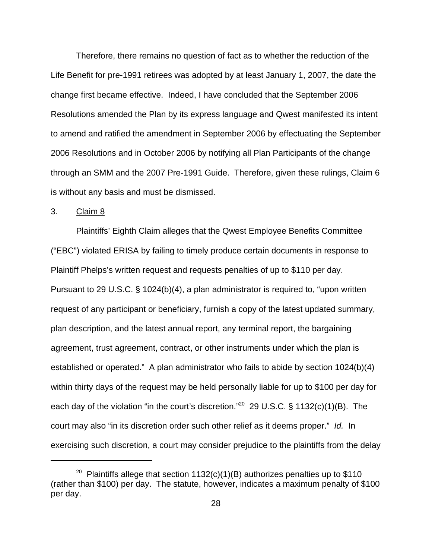Therefore, there remains no question of fact as to whether the reduction of the Life Benefit for pre-1991 retirees was adopted by at least January 1, 2007, the date the change first became effective. Indeed, I have concluded that the September 2006 Resolutions amended the Plan by its express language and Qwest manifested its intent to amend and ratified the amendment in September 2006 by effectuating the September 2006 Resolutions and in October 2006 by notifying all Plan Participants of the change through an SMM and the 2007 Pre-1991 Guide. Therefore, given these rulings, Claim 6 is without any basis and must be dismissed.

### 3. Claim 8

Plaintiffs' Eighth Claim alleges that the Qwest Employee Benefits Committee ("EBC") violated ERISA by failing to timely produce certain documents in response to Plaintiff Phelps's written request and requests penalties of up to \$110 per day. Pursuant to 29 U.S.C. § 1024(b)(4), a plan administrator is required to, "upon written request of any participant or beneficiary, furnish a copy of the latest updated summary, plan description, and the latest annual report, any terminal report, the bargaining agreement, trust agreement, contract, or other instruments under which the plan is established or operated." A plan administrator who fails to abide by section 1024(b)(4) within thirty days of the request may be held personally liable for up to \$100 per day for each day of the violation "in the court's discretion."<sup>20</sup> 29 U.S.C. § 1132(c)(1)(B). The court may also "in its discretion order such other relief as it deems proper." *Id.* In exercising such discretion, a court may consider prejudice to the plaintiffs from the delay

<sup>&</sup>lt;sup>20</sup> Plaintiffs allege that section  $1132(c)(1)(B)$  authorizes penalties up to \$110 (rather than \$100) per day. The statute, however, indicates a maximum penalty of \$100 per day.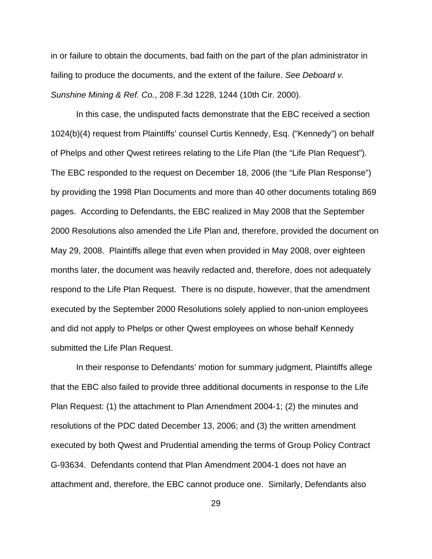in or failure to obtain the documents, bad faith on the part of the plan administrator in failing to produce the documents, and the extent of the failure. *See Deboard v. Sunshine Mining & Ref. Co.*, 208 F.3d 1228, 1244 (10th Cir. 2000).

In this case, the undisputed facts demonstrate that the EBC received a section 1024(b)(4) request from Plaintiffs' counsel Curtis Kennedy, Esq. ("Kennedy") on behalf of Phelps and other Qwest retirees relating to the Life Plan (the "Life Plan Request"). The EBC responded to the request on December 18, 2006 (the "Life Plan Response") by providing the 1998 Plan Documents and more than 40 other documents totaling 869 pages. According to Defendants, the EBC realized in May 2008 that the September 2000 Resolutions also amended the Life Plan and, therefore, provided the document on May 29, 2008. Plaintiffs allege that even when provided in May 2008, over eighteen months later, the document was heavily redacted and, therefore, does not adequately respond to the Life Plan Request. There is no dispute, however, that the amendment executed by the September 2000 Resolutions solely applied to non-union employees and did not apply to Phelps or other Qwest employees on whose behalf Kennedy submitted the Life Plan Request.

In their response to Defendants' motion for summary judgment, Plaintiffs allege that the EBC also failed to provide three additional documents in response to the Life Plan Request: (1) the attachment to Plan Amendment 2004-1; (2) the minutes and resolutions of the PDC dated December 13, 2006; and (3) the written amendment executed by both Qwest and Prudential amending the terms of Group Policy Contract G-93634. Defendants contend that Plan Amendment 2004-1 does not have an attachment and, therefore, the EBC cannot produce one. Similarly, Defendants also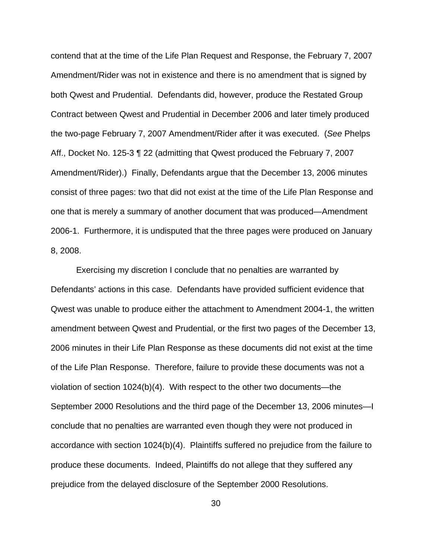contend that at the time of the Life Plan Request and Response, the February 7, 2007 Amendment/Rider was not in existence and there is no amendment that is signed by both Qwest and Prudential. Defendants did, however, produce the Restated Group Contract between Qwest and Prudential in December 2006 and later timely produced the two-page February 7, 2007 Amendment/Rider after it was executed. (*See* Phelps Aff., Docket No. 125-3 ¶ 22 (admitting that Qwest produced the February 7, 2007 Amendment/Rider).) Finally, Defendants argue that the December 13, 2006 minutes consist of three pages: two that did not exist at the time of the Life Plan Response and one that is merely a summary of another document that was produced—Amendment 2006-1. Furthermore, it is undisputed that the three pages were produced on January 8, 2008.

Exercising my discretion I conclude that no penalties are warranted by Defendants' actions in this case. Defendants have provided sufficient evidence that Qwest was unable to produce either the attachment to Amendment 2004-1, the written amendment between Qwest and Prudential, or the first two pages of the December 13, 2006 minutes in their Life Plan Response as these documents did not exist at the time of the Life Plan Response. Therefore, failure to provide these documents was not a violation of section 1024(b)(4). With respect to the other two documents—the September 2000 Resolutions and the third page of the December 13, 2006 minutes—I conclude that no penalties are warranted even though they were not produced in accordance with section 1024(b)(4). Plaintiffs suffered no prejudice from the failure to produce these documents. Indeed, Plaintiffs do not allege that they suffered any prejudice from the delayed disclosure of the September 2000 Resolutions.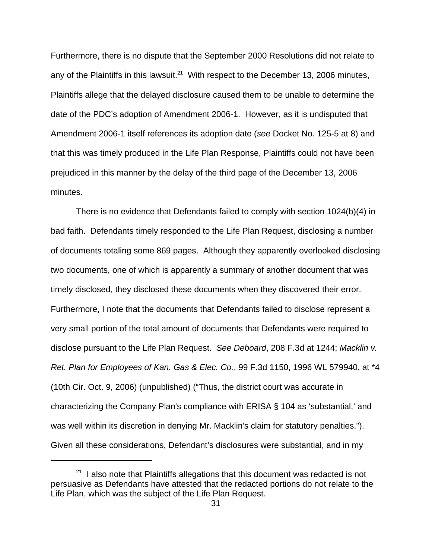Furthermore, there is no dispute that the September 2000 Resolutions did not relate to any of the Plaintiffs in this lawsuit.<sup>21</sup> With respect to the December 13, 2006 minutes, Plaintiffs allege that the delayed disclosure caused them to be unable to determine the date of the PDC's adoption of Amendment 2006-1. However, as it is undisputed that Amendment 2006-1 itself references its adoption date (*see* Docket No. 125-5 at 8) and that this was timely produced in the Life Plan Response, Plaintiffs could not have been prejudiced in this manner by the delay of the third page of the December 13, 2006 minutes.

There is no evidence that Defendants failed to comply with section 1024(b)(4) in bad faith. Defendants timely responded to the Life Plan Request, disclosing a number of documents totaling some 869 pages. Although they apparently overlooked disclosing two documents, one of which is apparently a summary of another document that was timely disclosed, they disclosed these documents when they discovered their error. Furthermore, I note that the documents that Defendants failed to disclose represent a very small portion of the total amount of documents that Defendants were required to disclose pursuant to the Life Plan Request. *See Deboard*, 208 F.3d at 1244; *Macklin v. Ret. Plan for Employees of Kan. Gas & Elec. Co.*, 99 F.3d 1150, 1996 WL 579940, at \*4 (10th Cir. Oct. 9, 2006) (unpublished) ("Thus, the district court was accurate in characterizing the Company Plan's compliance with ERISA § 104 as 'substantial,' and was well within its discretion in denying Mr. Macklin's claim for statutory penalties."). Given all these considerations, Defendant's disclosures were substantial, and in my

 $21$  I also note that Plaintiffs allegations that this document was redacted is not persuasive as Defendants have attested that the redacted portions do not relate to the Life Plan, which was the subject of the Life Plan Request.